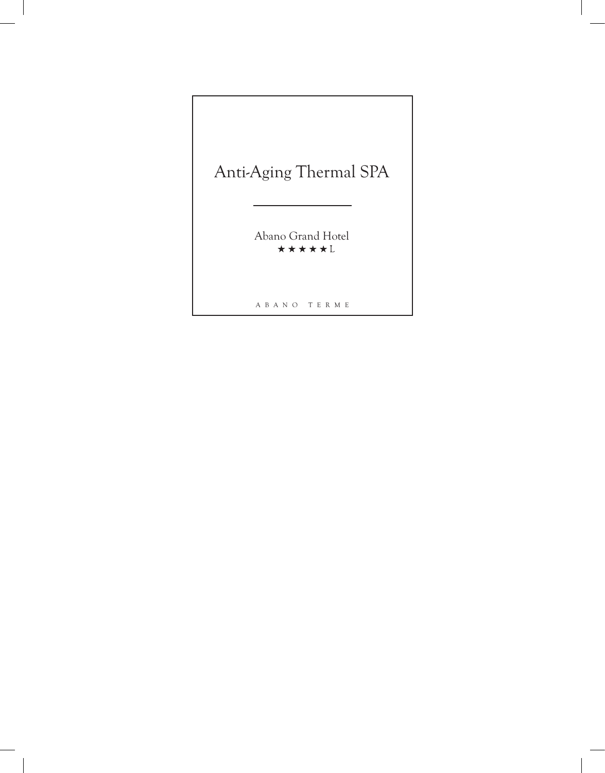# Anti-Aging Thermal SPA

Abano Grand Hotel

A B A N O T E R M E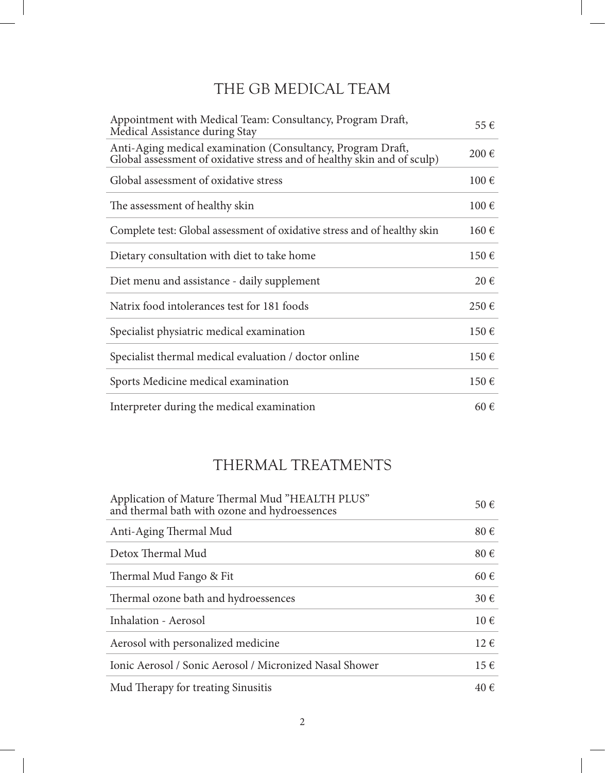### THE GB MEDICAL TEAM

| Appointment with Medical Team: Consultancy, Program Draft,<br>Medical Assistance during Stay                                           | 55 €               |
|----------------------------------------------------------------------------------------------------------------------------------------|--------------------|
| Anti-Aging medical examination (Consultancy, Program Draft,<br>Global assessment of oxidative stress and of healthy skin and of sculp) | 200€               |
| Global assessment of oxidative stress                                                                                                  | 100€               |
| The assessment of healthy skin                                                                                                         | 100€               |
| Complete test: Global assessment of oxidative stress and of healthy skin                                                               | 160€               |
| Dietary consultation with diet to take home                                                                                            | 150€               |
| Diet menu and assistance - daily supplement                                                                                            | $20 \in$           |
| Natrix food intolerances test for 181 foods                                                                                            | $250 \text{ } \in$ |
| Specialist physiatric medical examination                                                                                              | 150€               |
| Specialist thermal medical evaluation / doctor online                                                                                  | 150€               |
| Sports Medicine medical examination                                                                                                    | 150€               |
| Interpreter during the medical examination                                                                                             | 60€                |

### THERMAL TREATMENTS

| Application of Mature Thermal Mud "HEALTH PLUS"<br>and thermal bath with ozone and hydroessences | 50 €     |
|--------------------------------------------------------------------------------------------------|----------|
| Anti-Aging Thermal Mud                                                                           | 80€      |
| Detox Thermal Mud                                                                                | $80 \in$ |
| Thermal Mud Fango & Fit                                                                          | 60€      |
| Thermal ozone bath and hydroessences                                                             | $30 \in$ |
| Inhalation - Aerosol                                                                             | $10 \in$ |
| Aerosol with personalized medicine                                                               | $12 \in$ |
| Ionic Aerosol / Sonic Aerosol / Micronized Nasal Shower                                          | $15 \in$ |
| Mud Therapy for treating Sinusitis                                                               | 40€      |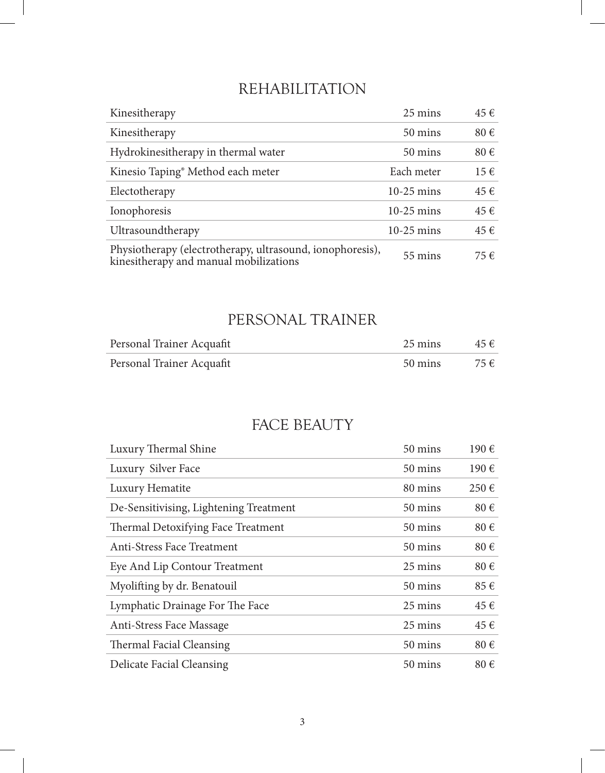### REHABILITATION

| Kinesitherapy                                                                                       | 25 mins           | 45 €     |
|-----------------------------------------------------------------------------------------------------|-------------------|----------|
| Kinesitherapy                                                                                       | 50 mins           | 80€      |
| Hydrokinesitherapy in thermal water                                                                 | $50 \text{ mins}$ | 80€      |
| Kinesio Taping <sup>®</sup> Method each meter                                                       | Each meter        | $15 \in$ |
| Electotherapy                                                                                       | $10-25$ mins      | 45 €     |
| Ionophoresis                                                                                        | $10-25$ mins      | 45 €     |
| Ultrasoundtherapy                                                                                   | $10-25$ mins      | 45 €     |
| Physiotherapy (electrotherapy, ultrasound, ionophoresis),<br>kinesitherapy and manual mobilizations | 55 mins           | 75 €     |

# PERSONAL TRAINER

| Personal Trainer Acquafit | 25 mins | $45 \in$ |
|---------------------------|---------|----------|
| Personal Trainer Acquafit | 50 mins | $75 \in$ |

#### FACE BEAUTY

| Luxury Thermal Shine                   | 50 mins | 190€               |
|----------------------------------------|---------|--------------------|
| Luxury Silver Face                     | 50 mins | $190 \text{ } \in$ |
| Luxury Hematite                        | 80 mins | $250 \text{ } \in$ |
| De-Sensitivising, Lightening Treatment | 50 mins | 80€                |
| Thermal Detoxifying Face Treatment     | 50 mins | $80 \in$           |
| Anti-Stress Face Treatment             | 50 mins | $80 \in$           |
| Eye And Lip Contour Treatment          | 25 mins | $80 \in$           |
| Myolifting by dr. Benatouil            | 50 mins | 85€                |
| Lymphatic Drainage For The Face        | 25 mins | 45 €               |
| Anti-Stress Face Massage               | 25 mins | 45 €               |
| Thermal Facial Cleansing               | 50 mins | 80€                |
| <b>Delicate Facial Cleansing</b>       | 50 mins | 80€                |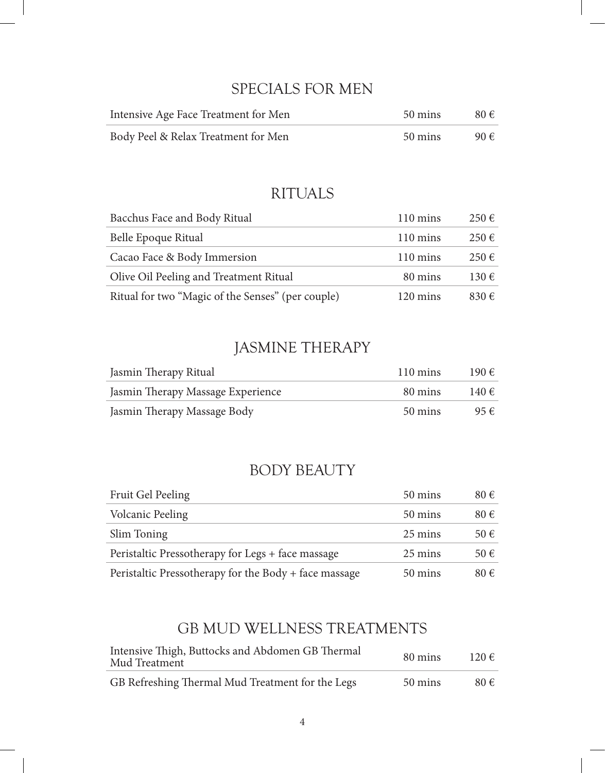#### SPECIALS FOR MEN

| Intensive Age Face Treatment for Men | 50 mins | $80 \in$ |
|--------------------------------------|---------|----------|
| Body Peel & Relax Treatment for Men  | 50 mins | 90€      |

#### RITUALS

| Bacchus Face and Body Ritual                      | $110 \text{ mins}$ | $250 \in$          |
|---------------------------------------------------|--------------------|--------------------|
| Belle Epoque Ritual                               | $110 \text{ mins}$ | $250 \in$          |
| Cacao Face & Body Immersion                       | $110 \text{ mins}$ | 250€               |
| Olive Oil Peeling and Treatment Ritual            | 80 mins            | $130 \text{ } \in$ |
| Ritual for two "Magic of the Senses" (per couple) | $120 \text{ mins}$ | $830 \text{ } \in$ |

### JASMINE THERAPY

| Jasmin Therapy Ritual             | $110 \text{ mins}$ | 190€  |
|-----------------------------------|--------------------|-------|
| Jasmin Therapy Massage Experience | 80 mins            | 140 € |
| Jasmin Therapy Massage Body       | 50 mins            | 95€   |

#### BODY BEAUTY

| Fruit Gel Peeling                                     | 50 mins | 80€      |
|-------------------------------------------------------|---------|----------|
| <b>Volcanic Peeling</b>                               | 50 mins | $80 \in$ |
| Slim Toning                                           | 25 mins | 50 €     |
| Peristaltic Pressotherapy for Legs + face massage     | 25 mins | 50€      |
| Peristaltic Pressotherapy for the Body + face massage | 50 mins | $80 \in$ |

#### GB MUD WELLNESS TREATMENTS

| Intensive Thigh, Buttocks and Abdomen GB Thermal<br>Mud Treatment | 80 mins | 120€     |
|-------------------------------------------------------------------|---------|----------|
| GB Refreshing Thermal Mud Treatment for the Legs                  | 50 mins | $80 \in$ |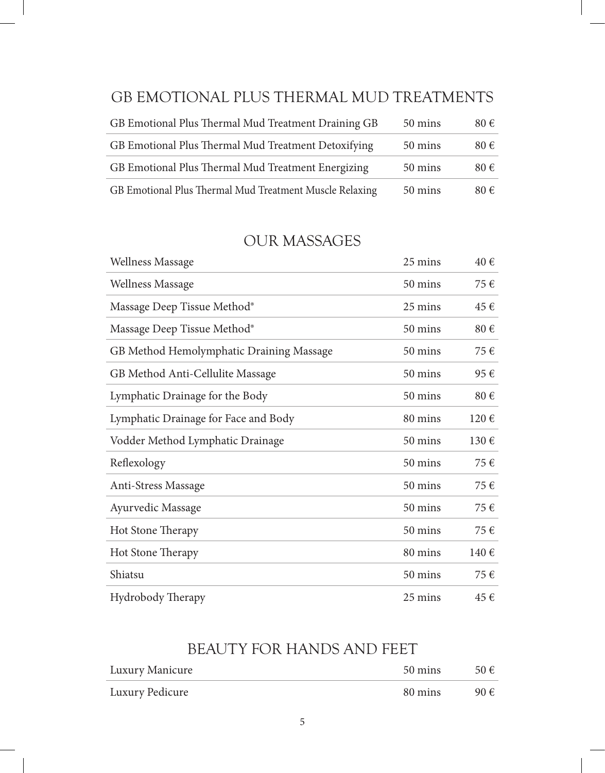#### GB EMOTIONAL PLUS THERMAL MUD TREATMENTS

| GB Emotional Plus Thermal Mud Treatment Draining GB     | 50 mins | 80€      |
|---------------------------------------------------------|---------|----------|
| GB Emotional Plus Thermal Mud Treatment Detoxifying     | 50 mins | $80 \in$ |
| GB Emotional Plus Thermal Mud Treatment Energizing      | 50 mins | $80 \in$ |
| GB Emotional Plus Thermal Mud Treatment Muscle Relaxing | 50 mins | 80€      |

#### OUR MASSAGES

| <b>Wellness Massage</b>                  | 25 mins | 40€  |
|------------------------------------------|---------|------|
| <b>Wellness Massage</b>                  | 50 mins | 75€  |
| Massage Deep Tissue Method®              | 25 mins | 45€  |
| Massage Deep Tissue Method®              | 50 mins | 80€  |
| GB Method Hemolymphatic Draining Massage | 50 mins | 75€  |
| GB Method Anti-Cellulite Massage         | 50 mins | 95€  |
| Lymphatic Drainage for the Body          | 50 mins | 80€  |
| Lymphatic Drainage for Face and Body     | 80 mins | 120€ |
| Vodder Method Lymphatic Drainage         | 50 mins | 130€ |
| Reflexology                              | 50 mins | 75€  |
| Anti-Stress Massage                      | 50 mins | 75€  |
| Ayurvedic Massage                        | 50 mins | 75€  |
| Hot Stone Therapy                        | 50 mins | 75€  |
| Hot Stone Therapy                        | 80 mins | 140€ |
| Shiatsu                                  | 50 mins | 75€  |
| <b>Hydrobody Therapy</b>                 | 25 mins | 45 € |

### BEAUTY FOR HANDS AND FEET

| Luxury Manicure | 50 mins | 50 $\epsilon$ |
|-----------------|---------|---------------|
| Luxury Pedicure | 80 mins | 90 $\epsilon$ |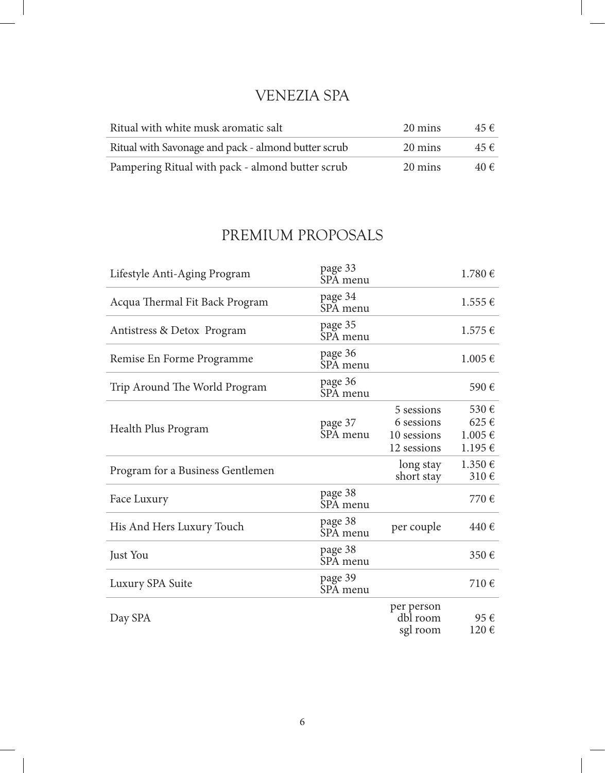### VENEZIA SPA

| Ritual with white musk aromatic salt                | 20 mins | 45 € |
|-----------------------------------------------------|---------|------|
| Ritual with Savonage and pack - almond butter scrub | 20 mins | 45 € |
| Pampering Ritual with pack - almond butter scrub    | 20 mins | 40€  |

# PREMIUM PROPOSALS

| Lifestyle Anti-Aging Program     | page 33<br>SPA menu |                                                        | 1.780€                           |
|----------------------------------|---------------------|--------------------------------------------------------|----------------------------------|
| Acqua Thermal Fit Back Program   | page 34<br>SPA menu |                                                        | $1.555 \in$                      |
| Antistress & Detox Program       | page 35<br>SPA menu |                                                        | $1.575 \in$                      |
| Remise En Forme Programme        | page 36<br>SPA menu |                                                        | $1.005 \in$                      |
| Trip Around The World Program    | page 36<br>SPA menu |                                                        | 590€                             |
| Health Plus Program              | page 37<br>SPA menu | 5 sessions<br>6 sessions<br>10 sessions<br>12 sessions | 530€<br>625€<br>1.005€<br>1.195€ |
| Program for a Business Gentlemen |                     | long stay<br>short stay                                | 1.350€<br>310€                   |
| Face Luxury                      | page 38<br>SPA menu |                                                        | 770€                             |
| His And Hers Luxury Touch        | page 38<br>SPA menu | per couple                                             | 440€                             |
| Just You                         | page 38<br>SPA menu |                                                        | 350€                             |
| Luxury SPA Suite                 | page 39<br>SPA menu |                                                        | 710€                             |
| Day SPA                          |                     | per person<br>dbl room<br>sgl room                     | 95€<br>120€                      |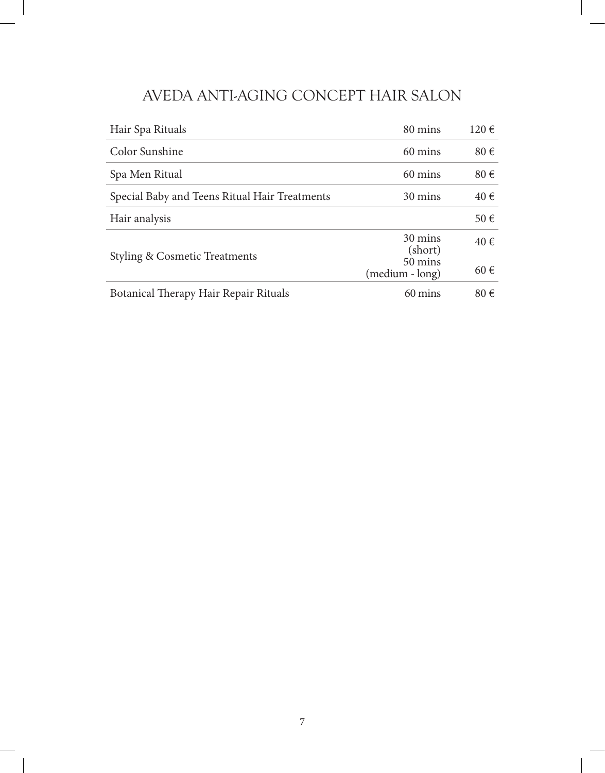### AVEDA ANTI-AGING CONCEPT HAIR SALON

| Hair Spa Rituals                              | 80 mins                    | 120€ |
|-----------------------------------------------|----------------------------|------|
| Color Sunshine                                | 60 mins                    | 80€  |
| Spa Men Ritual                                | 60 mins                    | 80€  |
| Special Baby and Teens Ritual Hair Treatments | 30 mins                    | 40 € |
| Hair analysis                                 |                            | 50€  |
| <b>Styling &amp; Cosmetic Treatments</b>      | 30 mins<br>(short)         | 40 € |
|                                               | 50 mins<br>(medium - long) | 60€  |
| Botanical Therapy Hair Repair Rituals         | 60 mins                    | 80€  |